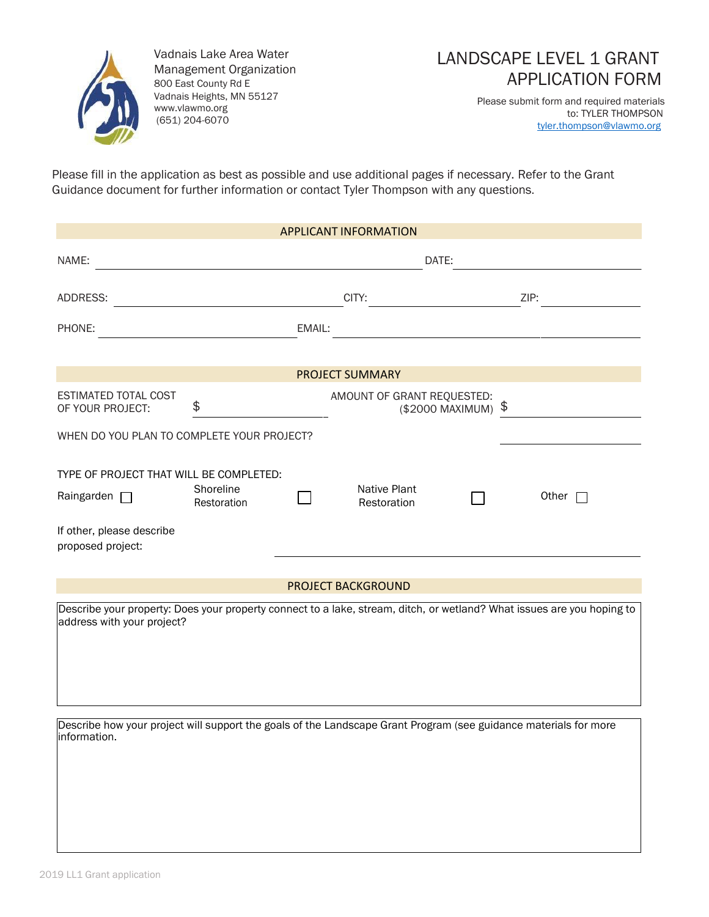

Vadnais Lake Area Water Management Organization 800 East County Rd E Vadnais Heights, MN 55127 [www.vlawmo.org](http://www.vlawmo.org/) (651) 204-6070

## LANDSCAPE LEVEL 1 GRANT APPLICATION FORM

Please submit form and required materials to: TYLER THOMPSON [tyler.thompson@vlawmo.org](mailto:tyler.thompson@vlawmo.org)

Please fill in the application as best as possible and use additional pages if necessary. Refer to the Grant Guidance document for further information or contact Tyler Thompson with any questions.

| <b>APPLICANT INFORMATION</b>                                                                                     |                          |        |                             |                     |                                                                                                                        |  |  |
|------------------------------------------------------------------------------------------------------------------|--------------------------|--------|-----------------------------|---------------------|------------------------------------------------------------------------------------------------------------------------|--|--|
| NAME:                                                                                                            | DATE:                    |        |                             |                     |                                                                                                                        |  |  |
| ADDRESS:                                                                                                         |                          | CITY:  |                             |                     | ZIP:                                                                                                                   |  |  |
| PHONE:                                                                                                           |                          | EMAIL: |                             |                     |                                                                                                                        |  |  |
| <b>PROJECT SUMMARY</b>                                                                                           |                          |        |                             |                     |                                                                                                                        |  |  |
| ESTIMATED TOTAL COST<br>OF YOUR PROJECT:                                                                         | \$                       |        | AMOUNT OF GRANT REQUESTED:  | (\$2000 MAXIMUM) \$ |                                                                                                                        |  |  |
| WHEN DO YOU PLAN TO COMPLETE YOUR PROJECT?                                                                       |                          |        |                             |                     |                                                                                                                        |  |  |
| TYPE OF PROJECT THAT WILL BE COMPLETED:<br>Raingarden $\Box$                                                     | Shoreline<br>Restoration |        | Native Plant<br>Restoration |                     | Other $\Box$                                                                                                           |  |  |
| If other, please describe<br>proposed project:                                                                   |                          |        |                             |                     |                                                                                                                        |  |  |
|                                                                                                                  |                          |        | <b>PROJECT BACKGROUND</b>   |                     |                                                                                                                        |  |  |
| address with your project?                                                                                       |                          |        |                             |                     | Describe your property: Does your property connect to a lake, stream, ditch, or wetland? What issues are you hoping to |  |  |
| Describe how your project will support the goals of the Landscape Grant Program (see guidance materials for more |                          |        |                             |                     |                                                                                                                        |  |  |
| information.                                                                                                     |                          |        |                             |                     |                                                                                                                        |  |  |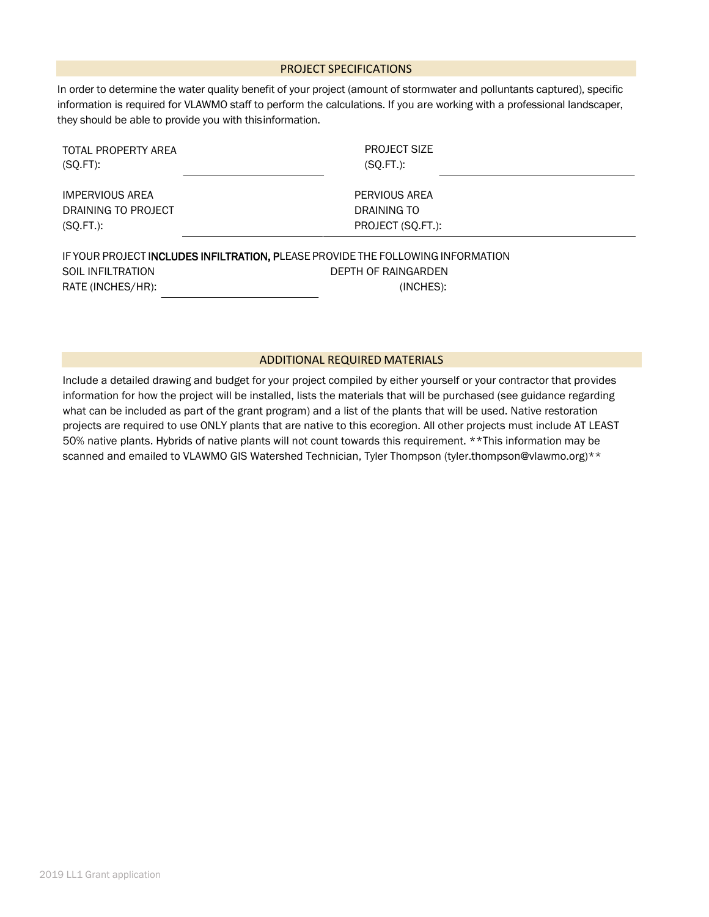#### PROJECT SPECIFICATIONS

In order to determine the water quality benefit of your project (amount of stormwater and polluntants captured), specific information is required for VLAWMO staff to perform the calculations. If you are working with a professional landscaper, they should be able to provide you with this information.

| TOTAL PROPERTY AREA<br>$(SQ.FT)$ :     | <b>PROJECT SIZE</b><br>$(SQ.FT.)$ :                                                                                 |  |
|----------------------------------------|---------------------------------------------------------------------------------------------------------------------|--|
| <b>IMPERVIOUS AREA</b>                 | PERVIOUS AREA                                                                                                       |  |
| DRAINING TO PROJECT                    | DRAINING TO                                                                                                         |  |
| $(SQ.FT.)$ :                           | PROJECT (SQ.FT.):                                                                                                   |  |
| SOIL INFILTRATION<br>RATE (INCHES/HR): | IF YOUR PROJECT INCLUDES INFILTRATION, PLEASE PROVIDE THE FOLLOWING INFORMATION<br>DEPTH OF RAINGARDEN<br>(INCHES): |  |

#### ADDITIONAL REQUIRED MATERIALS

Include a detailed drawing and budget for your project compiled by either yourself or your contractor that provides information for how the project will be installed, lists the materials that will be purchased (see guidance regarding what can be included as part of the grant program) and a list of the plants that will be used. Native restoration projects are required to use ONLY plants that are native to this ecoregion. All other projects must include AT LEAST 50% native plants. Hybrids of native plants will not count towards this requirement. \*\*This information may be scanned and emailed to VLAWMO GIS Watershed Technician, Tyler Thompson (tyler.thompson@vlawmo.org)\*\*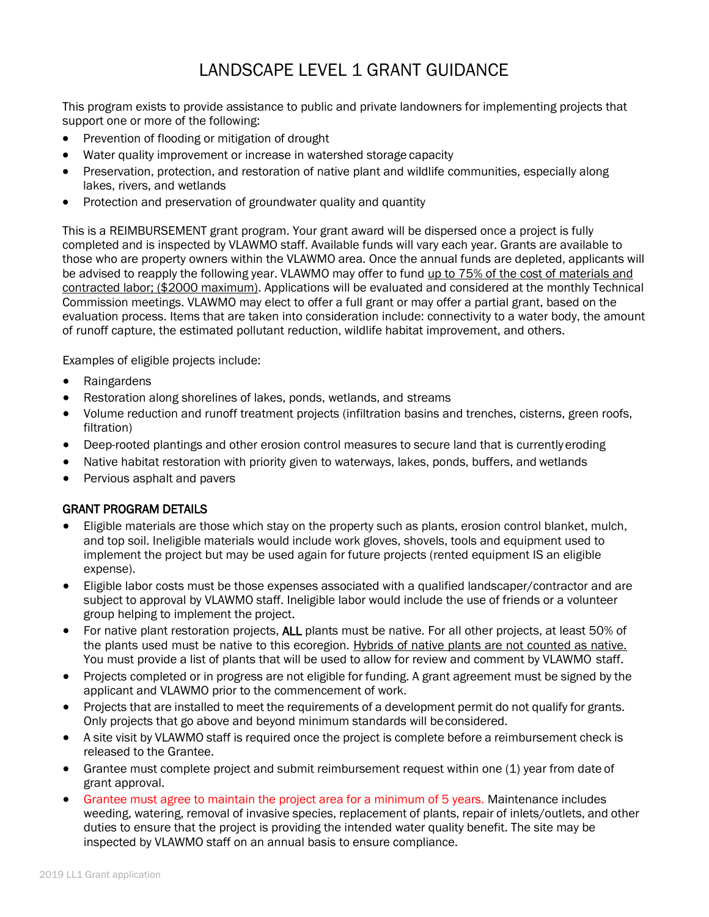# LANDSCAPE LEVEL 1 GRANT GUIDANCE

This program exists to provide assistance to public and private landowners for implementing projects that support one or more of the following:

- Prevention of flooding or mitigation of drought
- Water quality improvement or increase in watershed storage capacity
- Preservation, protection, and restoration of native plant and wildlife communities, especially along lakes, rivers, and wetlands
- Protection and preservation of groundwater quality and quantity

This is a REIMBURSEMENT grant program. Your grant award will be dispersed once a project is fully completed and is inspected by VLAWMO staff. Available funds will vary each year. Grants are available to those who are property owners within the VLAWMO area. Once the annual funds are depleted, applicants will be advised to reapply the following year. VLAWMO may offer to fund up to 75% of the cost of materials and contracted labor; (\$2000 maximum). Applications will be evaluated and considered at the monthly Technical Commission meetings. VLAWMO may elect to offer a full grant or may offer a partial grant, based on the evaluation process. Items that are taken into consideration include: connectivity to a water body, the amount of runoff capture, the estimated pollutant reduction, wildlife habitat improvement, and others.

Examples of eligible projects include:

- Raingardens
- Restoration along shorelines of lakes, ponds, wetlands, and streams
- Volume reduction and runoff treatment projects (infiltration basins and trenches, cisterns, green roofs, filtration)
- Deep-rooted plantings and other erosion control measures to secure land that is currently eroding
- Native habitat restoration with priority given to waterways, lakes, ponds, buffers, and wetlands
- Pervious asphalt and pavers

### GRANT PROGRAM DETAILS

- Eligible materials are those which stay on the property such as plants, erosion control blanket, mulch, and top soil. Ineligible materials would include work gloves, shovels, tools and equipment used to implement the project but may be used again for future projects (rented equipment IS an eligible expense).
- Eligible labor costs must be those expenses associated with a qualified landscaper/contractor and are subject to approval by VLAWMO staff. Ineligible labor would include the use of friends or a volunteer group helping to implement the project.
- For native plant restoration projects, ALL plants must be native. For all other projects, at least 50% of the plants used must be native to this ecoregion. Hybrids of native plants are not counted as native. You must provide a list of plants that will be used to allow for review and comment by VLAWMO staff.
- Projects completed or in progress are not eligible for funding. A grant agreement must be signed by the applicant and VLAWMO prior to the commencement of work.
- Projects that are installed to meet the requirements of a development permit do not qualify for grants. Only projects that go above and beyond minimum standards will be considered.
- A site visit by VLAWMO staff is required once the project is complete before a reimbursement check is released to the Grantee.
- Grantee must complete project and submit reimbursement request within one (1) year from date of grant approval.
- Grantee must agree to maintain the project area for a minimum of 5 years. Maintenance includes weeding, watering, removal of invasive species, replacement of plants, repair of inlets/outlets, and other duties to ensure that the project is providing the intended water quality benefit. The site may be inspected by VLAWMO staff on an annual basis to ensure compliance.